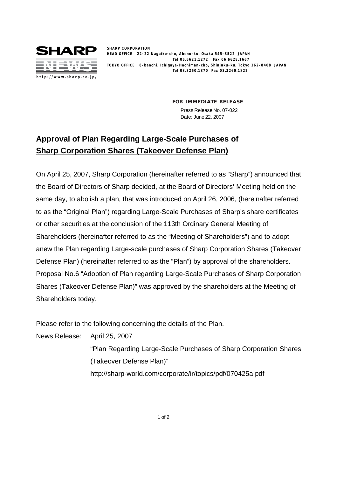

**SHARP CORPORATION HEAD OFFICE 22-22 Nagaike-cho, Abeno-ku, Osaka 545-8522 JAPAN Tel 06.6621.1272 Fax 06.6628.1667 TOKYO OFFICE 8-banchi, Ichigaya-Hachiman-cho, Shinjuku-ku, Tokyo 162-8408 JAPAN Tel 03.3260.1870 Fax 03.3260.1822**

> **FOR IMMEDIATE RELEASE** Press Release No. 07-022 Date: June 22, 2007

## **Approval of Plan Regarding Large-Scale Purchases of Sharp Corporation Shares (Takeover Defense Plan)**

On April 25, 2007, Sharp Corporation (hereinafter referred to as "Sharp") announced that the Board of Directors of Sharp decided, at the Board of Directors' Meeting held on the same day, to abolish a plan, that was introduced on April 26, 2006, (hereinafter referred to as the "Original Plan") regarding Large-Scale Purchases of Sharp's share certificates or other securities at the conclusion of the 113th Ordinary General Meeting of Shareholders (hereinafter referred to as the "Meeting of Shareholders") and to adopt anew the Plan regarding Large-scale purchases of Sharp Corporation Shares (Takeover Defense Plan) (hereinafter referred to as the "Plan") by approval of the shareholders. Proposal No.6 "Adoption of Plan regarding Large-Scale Purchases of Sharp Corporation Shares (Takeover Defense Plan)" was approved by the shareholders at the Meeting of Shareholders today.

Please refer to the following concerning the details of the Plan.

News Release: April 25, 2007

"Plan Regarding Large-Scale Purchases of Sharp Corporation Shares (Takeover Defense Plan)"

http://sharp-world.com/corporate/ir/topics/pdf/070425a.pdf